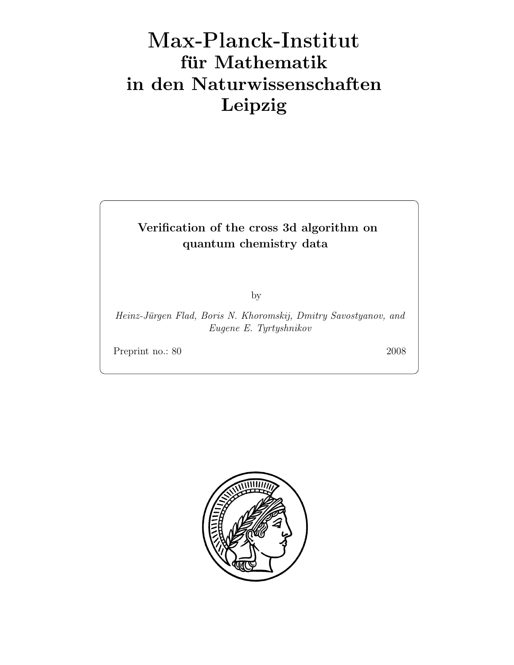# Max-Plan
k-Institut für Mathematik in den Naturwissenschaften Leipzig

# Verification of the cross 3d algorithm on quantum chemistry data

by

Heinz-Jürgen Flad, Boris N. Khoromskij, Dmitry Savostyanov, and Eugene E. Tyrtyshnikov

Preprint no.: 80 2008

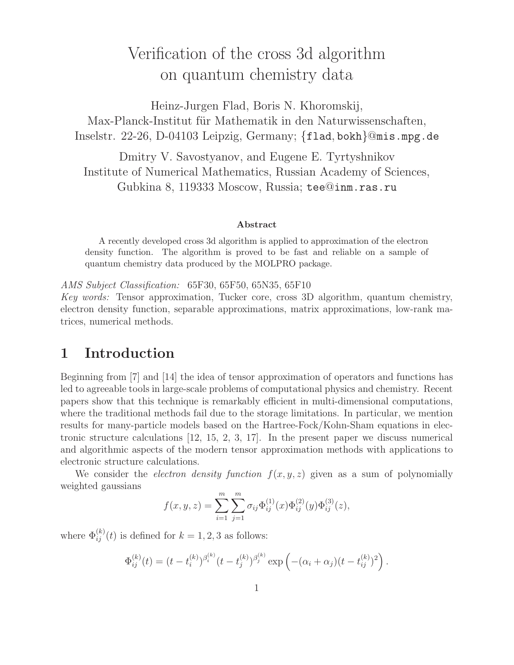# Verification of the cross 3d algorithm on quantum chemistry data

Heinz-Jurgen Flad, Boris N. Khoromskij, Max-Planck-Institut für Mathematik in den Naturwissenschaften, Inselstr. 22-26, D-04103 Leipzig, Germany; {flad, bokh}@mis.mpg.de

Dmitry V. Savostyanov, and Eugene E. Tyrtyshnikov Institute of Numerical Mathematics, Russian Academy of Sciences, Gubkina 8, 119333 Moscow, Russia; tee@inm.ras.ru

#### Abstract

A recently developed cross 3d algorithm is applied to approximation of the electron density function. The algorithm is proved to be fast and reliable on a sample of quantum chemistry data produced by the MOLPRO package.

AMS Subject Classification: 65F30, 65F50, 65N35, 65F10

Key words: Tensor approximation, Tucker core, cross 3D algorithm, quantum chemistry, electron density function, separable approximations, matrix approximations, low-rank matrices, numerical methods.

# 1 Introduction

Beginning from [7] and [14] the idea of tensor approximation of operators and functions has led to agreeable tools in large-scale problems of computational physics and chemistry. Recent papers show that this technique is remarkably efficient in multi-dimensional computations, where the traditional methods fail due to the storage limitations. In particular, we mention results for many-particle models based on the Hartree-Fock/Kohn-Sham equations in electronic structure calculations [12, 15, 2, 3, 17]. In the present paper we discuss numerical and algorithmic aspects of the modern tensor approximation methods with applications to electronic structure calculations.

We consider the *electron density function*  $f(x, y, z)$  given as a sum of polynomially weighted gaussians

$$
f(x, y, z) = \sum_{i=1}^{m} \sum_{j=1}^{m} \sigma_{ij} \Phi_{ij}^{(1)}(x) \Phi_{ij}^{(2)}(y) \Phi_{ij}^{(3)}(z),
$$

where  $\Phi_{ij}^{(k)}(t)$  is defined for  $k = 1, 2, 3$  as follows:

$$
\Phi_{ij}^{(k)}(t) = (t - t_i^{(k)})^{\beta_i^{(k)}} (t - t_j^{(k)})^{\beta_j^{(k)}} \exp \left( -(\alpha_i + \alpha_j)(t - t_{ij}^{(k)})^2 \right).
$$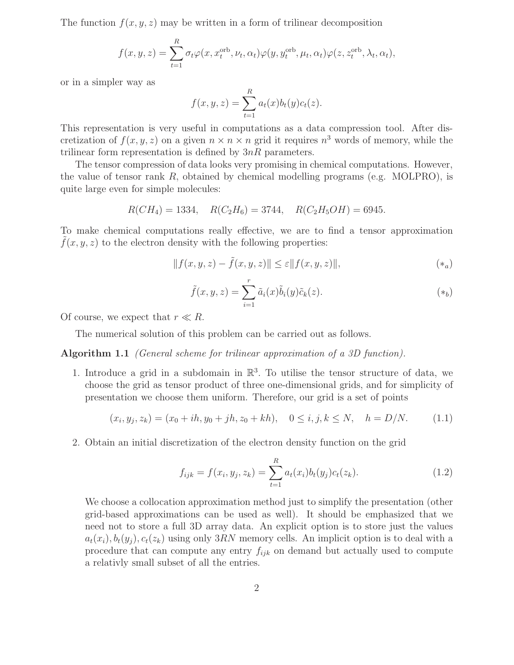The function  $f(x, y, z)$  may be written in a form of trilinear decomposition

$$
f(x, y, z) = \sum_{t=1}^{R} \sigma_t \varphi(x, x_t^{\text{orb}}, \nu_t, \alpha_t) \varphi(y, y_t^{\text{orb}}, \mu_t, \alpha_t) \varphi(z, z_t^{\text{orb}}, \lambda_t, \alpha_t),
$$

or in a simpler way as

$$
f(x, y, z) = \sum_{t=1}^{R} a_t(x)b_t(y)c_t(z).
$$

This representation is very useful in computations as a data compression tool. After discretization of  $f(x, y, z)$  on a given  $n \times n \times n$  grid it requires  $n<sup>3</sup>$  words of memory, while the trilinear form representation is defined by  $3nR$  parameters.

The tensor compression of data looks very promising in chemical computations. However, the value of tensor rank  $R$ , obtained by chemical modelling programs (e.g. MOLPRO), is quite large even for simple molecules:

$$
R(CH_4) = 1334
$$
,  $R(C_2H_6) = 3744$ ,  $R(C_2H_5OH) = 6945$ .

To make chemical computations really effective, we are to find a tensor approximation  $f(x, y, z)$  to the electron density with the following properties:

$$
|| f(x, y, z) - \tilde{f}(x, y, z)|| \le \varepsilon ||f(x, y, z)||,
$$
\n
$$
(*)
$$

$$
\tilde{f}(x, y, z) = \sum_{i=1}^{r} \tilde{a}_i(x) \tilde{b}_i(y) \tilde{c}_k(z).
$$
\n
$$
(*_b)
$$

Of course, we expect that  $r \ll R$ .

The numerical solution of this problem can be carried out as follows.

Algorithm 1.1 (General scheme for trilinear approximation of a 3D function).

1. Introduce a grid in a subdomain in  $\mathbb{R}^3$ . To utilise the tensor structure of data, we choose the grid as tensor product of three one-dimensional grids, and for simplicity of presentation we choose them uniform. Therefore, our grid is a set of points

$$
(x_i, y_j, z_k) = (x_0 + ih, y_0 + jh, z_0 + kh), \quad 0 \le i, j, k \le N, \quad h = D/N.
$$
 (1.1)

2. Obtain an initial discretization of the electron density function on the grid

$$
f_{ijk} = f(x_i, y_j, z_k) = \sum_{t=1}^{R} a_t(x_i) b_t(y_j) c_t(z_k).
$$
 (1.2)

We choose a collocation approximation method just to simplify the presentation (other grid-based approximations can be used as well). It should be emphasized that we need not to store a full 3D array data. An explicit option is to store just the values  $a_t(x_i), b_t(y_i), c_t(z_k)$  using only 3RN memory cells. An implicit option is to deal with a procedure that can compute any entry  $f_{ijk}$  on demand but actually used to compute a relativly small subset of all the entries.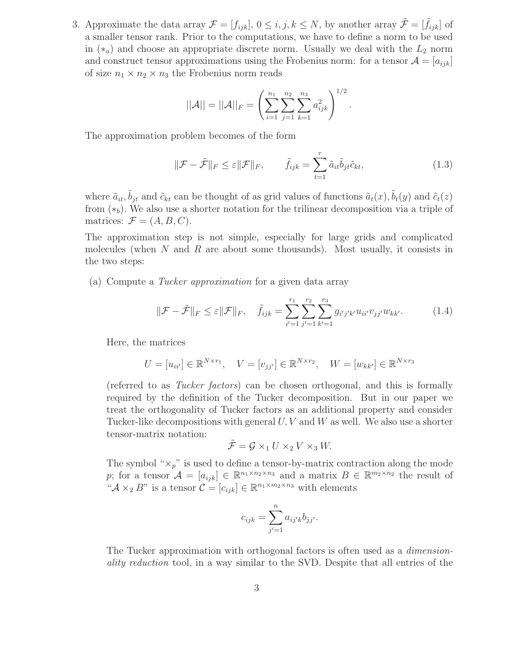3. Approximate the data array  $\mathcal{F} = [f_{ijk}], 0 \leq i, j, k \leq N$ , by another array  $\tilde{\mathcal{F}} = [\tilde{f}_{ijk}]$  of a smaller tensor rank. Prior to the computations, we have to define a norm to be used in  $(*_a)$  and choose an appropriate discrete norm. Usually we deal with the  $L_2$  norm and construct tensor approximations using the Frobenius norm: for a tensor  $\mathcal{A} = [a_{ijk}]$ of size  $n_1 \times n_2 \times n_3$  the Frobenius norm reads

$$
||\mathcal{A}|| = ||\mathcal{A}||_F = \left(\sum_{i=1}^{n_1} \sum_{j=1}^{n_2} \sum_{k=1}^{n_3} a_{ijk}^2\right)^{1/2}.
$$

The approximation problem becomes of the form

$$
\|\mathcal{F} - \tilde{\mathcal{F}}\|_{F} \le \varepsilon \|\mathcal{F}\|_{F}, \qquad \tilde{f}_{ijk} = \sum_{t=1}^{r} \tilde{a}_{it} \tilde{b}_{jt} \tilde{c}_{kt}, \qquad (1.3)
$$

where  $\tilde{a}_{it}$ ,  $\tilde{b}_{jt}$  and  $\tilde{c}_{kt}$  can be thought of as grid values of functions  $\tilde{a}_t(x)$ ,  $\tilde{b}_t(y)$  and  $\tilde{c}_t(z)$ from  $(*_b)$ . We also use a shorter notation for the trilinear decomposition via a triple of matrices:  $\mathcal{F} = (A, B, C)$ .

The approximation step is not simple, especially for large grids and complicated molecules (when  $N$  and  $R$  are about some thousands). Most usually, it consists in the two steps:

(a) Compute a Tucker approximation for a given data array

$$
\|\mathcal{F} - \tilde{\mathcal{F}}\|_{F} \le \varepsilon \|\mathcal{F}\|_{F}, \quad \tilde{f}_{ijk} = \sum_{i'=1}^{r_1} \sum_{j'=1}^{r_2} \sum_{k'=1}^{r_3} g_{i'j'k'} u_{ii'} v_{jj'} w_{kk'}.
$$
 (1.4)

Here, the matrices

$$
U = [u_{ii'}] \in \mathbb{R}^{N \times r_1}, \quad V = [v_{jj'}] \in \mathbb{R}^{N \times r_2}, \quad W = [w_{kk'}] \in \mathbb{R}^{N \times r_3}
$$

(referred to as Tucker factors) can be chosen orthogonal, and this is formally required by the definition of the Tucker decomposition. But in our paper we treat the orthogonality of Tucker factors as an additional property and consider Tucker-like decompositions with general  $U, V$  and  $W$  as well. We also use a shorter tensor-matrix notation:

$$
\tilde{\mathcal{F}} = \mathcal{G} \times_1 U \times_2 V \times_3 W.
$$

The symbol " $\times_p$ " is used to define a tensor-by-matrix contraction along the mode p; for a tensor  $\mathcal{A} = [a_{ijk}] \in \mathbb{R}^{n_1 \times n_2 \times n_3}$  and a matrix  $B \in \mathbb{R}^{m_2 \times n_2}$  the result of " $\mathcal{A} \times_2 B$ " is a tensor  $\mathcal{C} = [c_{ijk}] \in \mathbb{R}^{n_1 \times m_2 \times n_3}$  with elements

$$
c_{ijk} = \sum_{j'=1}^{n} a_{ij'k} b_{jj'}.
$$

The Tucker approximation with orthogonal factors is often used as a dimensionality reduction tool, in a way similar to the SVD. Despite that all entries of the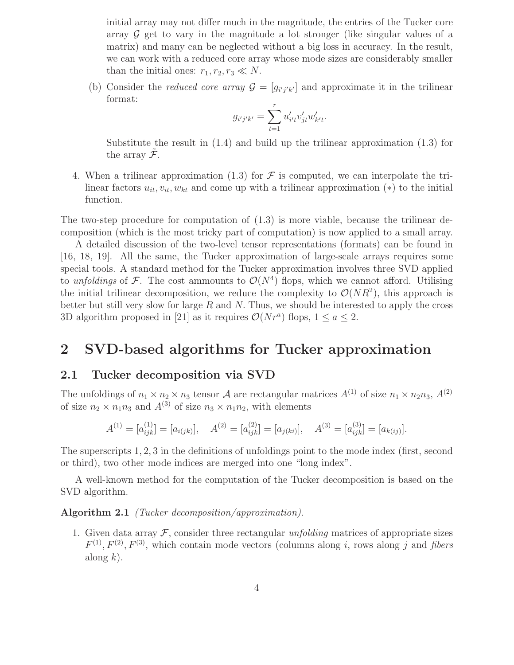initial array may not differ much in the magnitude, the entries of the Tucker core array  $\mathcal G$  get to vary in the magnitude a lot stronger (like singular values of a matrix) and many can be neglected without a big loss in accuracy. In the result, we can work with a reduced core array whose mode sizes are considerably smaller than the initial ones:  $r_1, r_2, r_3 \ll N$ .

(b) Consider the *reduced core array*  $\mathcal{G} = [g_{i'j'k'}]$  and approximate it in the trilinear format:

$$
g_{i'j'k'} = \sum_{t=1}^r u'_{i't}v'_{jt}w'_{k't}.
$$

Substitute the result in (1.4) and build up the trilinear approximation (1.3) for the array  $\mathcal{F}.$ 

4. When a trilinear approximation (1.3) for  $\mathcal F$  is computed, we can interpolate the trilinear factors  $u_{it}$ ,  $v_{it}$ ,  $w_{kt}$  and come up with a trilinear approximation  $(*)$  to the initial function.

The two-step procedure for computation of (1.3) is more viable, because the trilinear decomposition (which is the most tricky part of computation) is now applied to a small array.

A detailed discussion of the two-level tensor representations (formats) can be found in [16, 18, 19]. All the same, the Tucker approximation of large-scale arrays requires some special tools. A standard method for the Tucker approximation involves three SVD applied to unfoldings of F. The cost ammounts to  $\mathcal{O}(N^4)$  flops, which we cannot afford. Utilising the initial trilinear decomposition, we reduce the complexity to  $\mathcal{O}(NR^2)$ , this approach is better but still very slow for large R and N. Thus, we should be interested to apply the cross 3D algorithm proposed in [21] as it requires  $\mathcal{O}(Nr^a)$  flops,  $1 \le a \le 2$ .

# 2 SVD-based algorithms for Tucker approximation

## 2.1 Tucker decomposition via SVD

The unfoldings of  $n_1 \times n_2 \times n_3$  tensor A are rectangular matrices  $A^{(1)}$  of size  $n_1 \times n_2 n_3$ ,  $A^{(2)}$ of size  $n_2 \times n_1 n_3$  and  $A^{(3)}$  of size  $n_3 \times n_1 n_2$ , with elements

$$
A^{(1)} = [a_{ijk}^{(1)}] = [a_{i(jk)}], \quad A^{(2)} = [a_{ijk}^{(2)}] = [a_{j(ki)}], \quad A^{(3)} = [a_{ijk}^{(3)}] = [a_{k(ij)}].
$$

The superscripts 1, 2, 3 in the definitions of unfoldings point to the mode index (first, second or third), two other mode indices are merged into one "long index".

A well-known method for the computation of the Tucker decomposition is based on the SVD algorithm.

Algorithm 2.1 (Tucker decomposition/approximation).

1. Given data array  $\mathcal{F}$ , consider three rectangular unfolding matrices of appropriate sizes  $F^{(1)}, F^{(2)}, F^{(3)},$  which contain mode vectors (columns along i, rows along j and fibers along  $k$ ).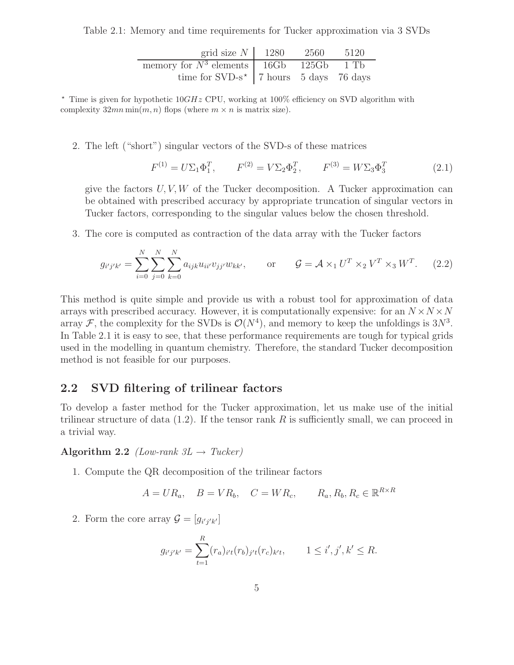Table 2.1: Memory and time requirements for Tucker approximation via 3 SVDs

| grid size $N \mid 1280$                     | 2560 | 5120 |
|---------------------------------------------|------|------|
| memory for $N^3$ elements 16Gb 125Gb 1 Tb   |      |      |
| time for $SVD-s^*$   7 hours 5 days 76 days |      |      |

 $\star$  Time is given for hypothetic 10GHz CPU, working at 100% efficiency on SVD algorithm with complexity  $32mn \min(m, n)$  flops (where  $m \times n$  is matrix size).

2. The left ("short") singular vectors of the SVD-s of these matrices

$$
F^{(1)} = U\Sigma_1 \Phi_1^T, \qquad F^{(2)} = V\Sigma_2 \Phi_2^T, \qquad F^{(3)} = W\Sigma_3 \Phi_3^T \tag{2.1}
$$

give the factors  $U, V, W$  of the Tucker decomposition. A Tucker approximation can be obtained with prescribed accuracy by appropriate truncation of singular vectors in Tucker factors, corresponding to the singular values below the chosen threshold.

3. The core is computed as contraction of the data array with the Tucker factors

$$
g_{i'j'k'} = \sum_{i=0}^{N} \sum_{j=0}^{N} \sum_{k=0}^{N} a_{ijk} u_{ii'} v_{jj'} w_{kk'}, \quad \text{or} \quad \mathcal{G} = \mathcal{A} \times_1 U^T \times_2 V^T \times_3 W^T.
$$
 (2.2)

This method is quite simple and provide us with a robust tool for approximation of data arrays with prescribed accuracy. However, it is computationally expensive: for an  $N \times N \times N$ array F, the complexity for the SVDs is  $\mathcal{O}(N^4)$ , and memory to keep the unfoldings is  $3N^3$ . In Table 2.1 it is easy to see, that these performance requirements are tough for typical grids used in the modelling in quantum chemistry. Therefore, the standard Tucker decomposition method is not feasible for our purposes.

### 2.2 SVD filtering of trilinear factors

To develop a faster method for the Tucker approximation, let us make use of the initial trilinear structure of data  $(1.2)$ . If the tensor rank R is sufficiently small, we can proceed in a trivial way.

Algorithm 2.2 (Low-rank  $3L \rightarrow Tucker$ )

1. Compute the QR decomposition of the trilinear factors

$$
A = UR_a, \quad B = VR_b, \quad C = WR_c, \qquad R_a, R_b, R_c \in \mathbb{R}^{R \times R}
$$

2. Form the core array  $\mathcal{G} = [g_{i'j'k'}]$ 

$$
g_{i'j'k'} = \sum_{t=1}^{R} (r_a)_{i't}(r_b)_{j't}(r_c)_{k't}, \qquad 1 \le i', j', k' \le R.
$$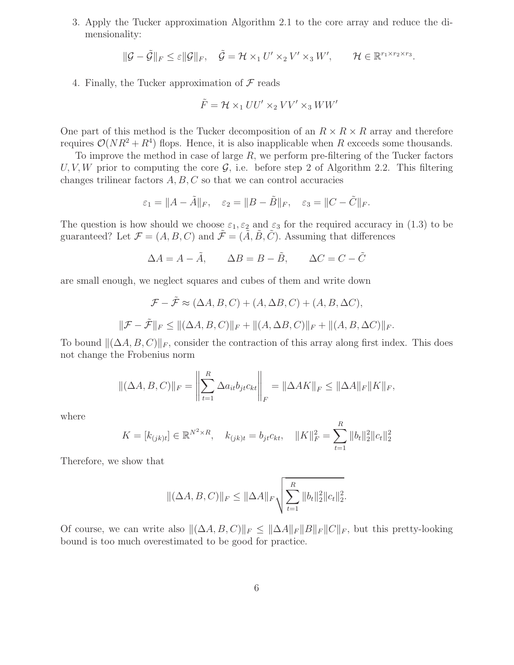3. Apply the Tucker approximation Algorithm 2.1 to the core array and reduce the dimensionality:

$$
\|\mathcal{G}-\tilde{\mathcal{G}}\|_{F}\leq \varepsilon \|\mathcal{G}\|_{F},\quad \tilde{\mathcal{G}}=\mathcal{H}\times_1 U'\times_2 V'\times_3 W',\qquad \mathcal{H}\in\mathbb{R}^{r_1\times r_2\times r_3}.
$$

4. Finally, the Tucker approximation of  $\mathcal F$  reads

$$
\tilde{F} = \mathcal{H} \times_1 U U' \times_2 V V' \times_3 W W'
$$

One part of this method is the Tucker decomposition of an  $R \times R \times R$  array and therefore requires  $\mathcal{O}(NR^2 + R^4)$  flops. Hence, it is also inapplicable when R exceeds some thousands.

To improve the method in case of large  $R$ , we perform pre-filtering of the Tucker factors U, V, W prior to computing the core  $\mathcal{G}$ , i.e. before step 2 of Algorithm 2.2. This filtering changes trilinear factors  $A, B, C$  so that we can control accuracies

$$
\varepsilon_1 = ||A - \tilde{A}||_F, \quad \varepsilon_2 = ||B - \tilde{B}||_F, \quad \varepsilon_3 = ||C - \tilde{C}||_F.
$$

The question is how should we choose  $\varepsilon_1, \varepsilon_2$  and  $\varepsilon_3$  for the required accuracy in (1.3) to be guaranteed? Let  $\mathcal{F} = (A, B, C)$  and  $\tilde{\mathcal{F}} = (\tilde{A}, \tilde{B}, \tilde{C})$ . Assuming that differences

$$
\Delta A = A - \tilde{A}, \qquad \Delta B = B - \tilde{B}, \qquad \Delta C = C - \tilde{C}
$$

are small enough, we neglect squares and cubes of them and write down

$$
\mathcal{F} - \tilde{\mathcal{F}} \approx (\Delta A, B, C) + (A, \Delta B, C) + (A, B, \Delta C),
$$
  

$$
\|\mathcal{F} - \tilde{\mathcal{F}}\|_F \le \|(\Delta A, B, C)\|_F + \|(A, \Delta B, C)\|_F + \|(A, B, \Delta C)\|_F.
$$

To bound  $\|(\Delta A, B, C)\|_F$ , consider the contraction of this array along first index. This does not change the Frobenius norm

$$
\|(\Delta A, B, C)\|_F = \left\|\sum_{t=1}^R \Delta a_{it} b_{jt} c_{kt}\right\|_F = \|\Delta A K\|_F \le \|\Delta A\|_F \|K\|_F,
$$

where

$$
K = [k_{(jk)t}] \in \mathbb{R}^{N^2 \times R}, \quad k_{(jk)t} = b_{jt}c_{kt}, \quad ||K||_F^2 = \sum_{t=1}^R ||b_t||_2^2 ||c_t||_2^2
$$

Therefore, we show that

$$
\|(\Delta A, B, C)\|_F \le \|\Delta A\|_F \sqrt{\sum_{t=1}^R \|b_t\|_2^2 \|c_t\|_2^2}.
$$

Of course, we can write also  $\|(\Delta A, B, C)\|_F \leq \|\Delta A\|_F \|B\|_F \|C\|_F$ , but this pretty-looking bound is too much overestimated to be good for practice.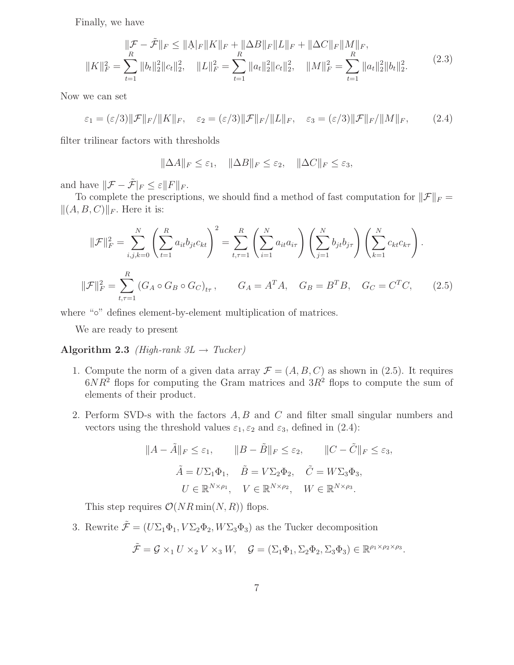Finally, we have

$$
\|\mathcal{F} - \tilde{\mathcal{F}}\|_{F} \leq \|\mathbf{A}\|_{F} \|K\|_{F} + \|\Delta B\|_{F} \|L\|_{F} + \|\Delta C\|_{F} \|M\|_{F},
$$
  

$$
\|K\|_{F}^{2} = \sum_{t=1}^{R} \|b_{t}\|_{2}^{2} \|c_{t}\|_{2}^{2}, \quad \|L\|_{F}^{2} = \sum_{t=1}^{R} \|a_{t}\|_{2}^{2} \|c_{t}\|_{2}^{2}, \quad \|M\|_{F}^{2} = \sum_{t=1}^{R} \|a_{t}\|_{2}^{2} \|b_{t}\|_{2}^{2}.
$$
 (2.3)

Now we can set

$$
\varepsilon_1 = \frac{\varepsilon}{3} \|\mathcal{F}\|_F / \|K\|_F, \quad \varepsilon_2 = \frac{\varepsilon}{3} \|\mathcal{F}\|_F / \|L\|_F, \quad \varepsilon_3 = \frac{\varepsilon}{3} \|\mathcal{F}\|_F / \|M\|_F, \tag{2.4}
$$

filter trilinear factors with thresholds

$$
\|\Delta A\|_F \le \varepsilon_1, \quad \|\Delta B\|_F \le \varepsilon_2, \quad \|\Delta C\|_F \le \varepsilon_3,
$$

and have  $\|\mathcal{F} - \tilde{\mathcal{F}}|_F \leq \varepsilon \|F\|_F$ .

To complete the prescriptions, we should find a method of fast computation for  $\|\mathcal{F}\|_F =$  $\|(A, B, C)\|_F$ . Here it is:

$$
\|\mathcal{F}\|_{F}^{2} = \sum_{i,j,k=0}^{N} \left( \sum_{t=1}^{R} a_{it} b_{jt} c_{kt} \right)^{2} = \sum_{t,\tau=1}^{R} \left( \sum_{i=1}^{N} a_{it} a_{i\tau} \right) \left( \sum_{j=1}^{N} b_{jt} b_{j\tau} \right) \left( \sum_{k=1}^{N} c_{kt} c_{k\tau} \right).
$$
  

$$
\|\mathcal{F}\|_{F}^{2} = \sum_{t,\tau=1}^{R} \left( G_{A} \circ G_{B} \circ G_{C} \right)_{t\tau}, \qquad G_{A} = A^{T} A, \quad G_{B} = B^{T} B, \quad G_{C} = C^{T} C,
$$
 (2.5)

where "∘" defines element-by-element multiplication of matrices.

We are ready to present

Algorithm 2.3 (High-rank  $3L \rightarrow Tucker$ )

- 1. Compute the norm of a given data array  $\mathcal{F} = (A, B, C)$  as shown in (2.5). It requires  $6NR^2$  flops for computing the Gram matrices and  $3R^2$  flops to compute the sum of elements of their product.
- 2. Perform SVD-s with the factors A, B and C and filter small singular numbers and vectors using the threshold values  $\varepsilon_1, \varepsilon_2$  and  $\varepsilon_3$ , defined in (2.4):

$$
||A - \tilde{A}||_F \le \varepsilon_1, \qquad ||B - \tilde{B}||_F \le \varepsilon_2, \qquad ||C - \tilde{C}||_F \le \varepsilon_3,
$$
  

$$
\tilde{A} = U\Sigma_1 \Phi_1, \quad \tilde{B} = V\Sigma_2 \Phi_2, \quad \tilde{C} = W\Sigma_3 \Phi_3,
$$
  

$$
U \in \mathbb{R}^{N \times \rho_1}, \quad V \in \mathbb{R}^{N \times \rho_2}, \quad W \in \mathbb{R}^{N \times \rho_3}.
$$

This step requires  $\mathcal{O}(NR \min(N, R))$  flops.

3. Rewrite  $\tilde{\mathcal{F}} = (U\Sigma_1\Phi_1, V\Sigma_2\Phi_2, W\Sigma_3\Phi_3)$  as the Tucker decomposition

$$
\tilde{\mathcal{F}} = \mathcal{G} \times_1 U \times_2 V \times_3 W, \quad \mathcal{G} = (\Sigma_1 \Phi_1, \Sigma_2 \Phi_2, \Sigma_3 \Phi_3) \in \mathbb{R}^{\rho_1 \times \rho_2 \times \rho_3}.
$$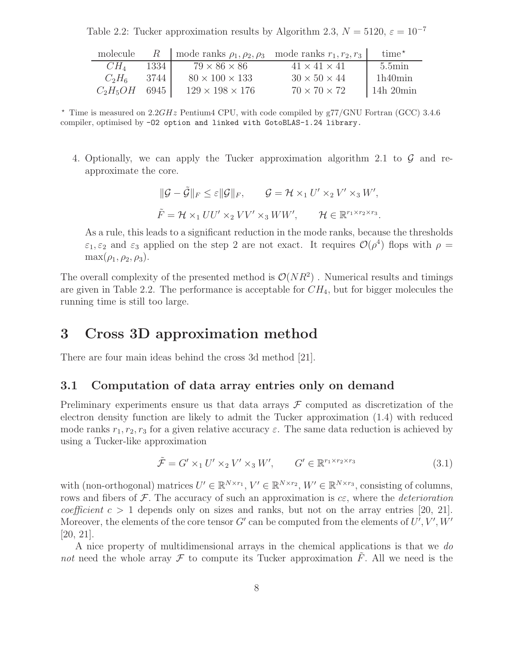Table 2.2: Tucker approximation results by Algorithm 2.3,  $N = 5120$ ,  $\varepsilon = 10^{-7}$ 

| molecule   |        | R   mode ranks $\rho_1, \rho_2, \rho_3$ mode ranks $r_1, r_2, r_3$ |                          | $time^*$            |
|------------|--------|--------------------------------------------------------------------|--------------------------|---------------------|
| $CH_4$     | 1334   | $79 \times 86 \times 86$                                           | $41 \times 41 \times 41$ | $5.5\text{min}$     |
| $C_2H_6$   | 3744   | $80 \times 100 \times 133$                                         | $30 \times 50 \times 44$ | 1h40min             |
| $C_2H_5OH$ | 6945 ' | $129 \times 198 \times 176$                                        | $70 \times 70 \times 72$ | $\frac{14h}{20min}$ |

 $\star$  Time is measured on 2.2GHz Pentium4 CPU, with code compiled by g77/GNU Fortran (GCC) 3.4.6 compiler, optimised by -O2 option and linked with GotoBLAS-1.24 library.

4. Optionally, we can apply the Tucker approximation algorithm 2.1 to  $\mathcal G$  and reapproximate the core.

$$
\begin{aligned}\n\|\mathcal{G} - \tilde{\mathcal{G}}\|_F &\leq \varepsilon \|\mathcal{G}\|_F, \qquad \mathcal{G} = \mathcal{H} \times_1 U' \times_2 V' \times_3 W', \\
\tilde{F} = \mathcal{H} \times_1 U U' \times_2 V V' \times_3 W W', \qquad \mathcal{H} \in \mathbb{R}^{r_1 \times r_2 \times r_3}.\n\end{aligned}
$$

As a rule, this leads to a significant reduction in the mode ranks, because the thresholds  $\varepsilon_1, \varepsilon_2$  and  $\varepsilon_3$  applied on the step 2 are not exact. It requires  $\mathcal{O}(\rho^4)$  flops with  $\rho =$  $\max(\rho_1, \rho_2, \rho_3)$ .

The overall complexity of the presented method is  $\mathcal{O}(NR^2)$ . Numerical results and timings are given in Table 2.2. The performance is acceptable for  $CH_4$ , but for bigger molecules the running time is still too large.

# 3 Cross 3D approximation method

There are four main ideas behind the cross 3d method [21].

## 3.1 Computation of data array entries only on demand

Preliminary experiments ensure us that data arrays  $\mathcal F$  computed as discretization of the electron density function are likely to admit the Tucker approximation (1.4) with reduced mode ranks  $r_1, r_2, r_3$  for a given relative accuracy  $\varepsilon$ . The same data reduction is achieved by using a Tucker-like approximation

$$
\tilde{\mathcal{F}} = G' \times_1 U' \times_2 V' \times_3 W', \qquad G' \in \mathbb{R}^{r_1 \times r_2 \times r_3} \tag{3.1}
$$

with (non-orthogonal) matrices  $U' \in \mathbb{R}^{N \times r_1}$ ,  $V' \in \mathbb{R}^{N \times r_2}$ ,  $W' \in \mathbb{R}^{N \times r_3}$ , consisting of columns, rows and fibers of  $\mathcal F$ . The accuracy of such an approximation is  $c\epsilon$ , where the *deterioration coefficient*  $c > 1$  depends only on sizes and ranks, but not on the array entries [20, 21]. Moreover, the elements of the core tensor  $G'$  can be computed from the elements of  $U', V', W'$ [20, 21].

A nice property of multidimensional arrays in the chemical applications is that we do not need the whole array  $\mathcal F$  to compute its Tucker approximation  $\tilde F$ . All we need is the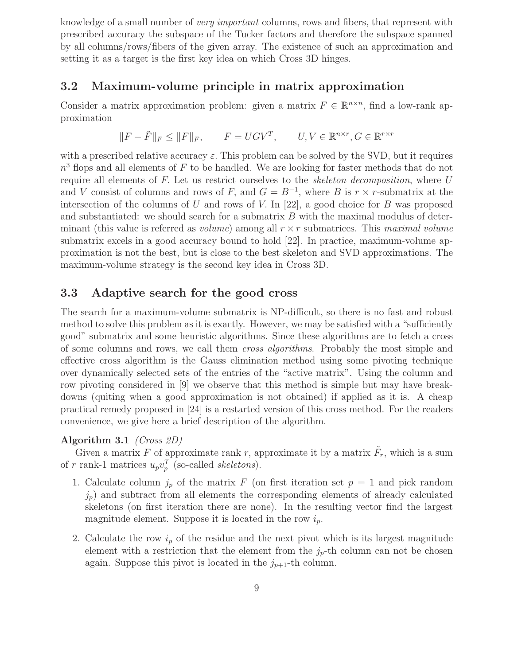knowledge of a small number of very important columns, rows and fibers, that represent with prescribed accuracy the subspace of the Tucker factors and therefore the subspace spanned by all columns/rows/fibers of the given array. The existence of such an approximation and setting it as a target is the first key idea on which Cross 3D hinges.

## 3.2 Maximum-volume principle in matrix approximation

Consider a matrix approximation problem: given a matrix  $F \in \mathbb{R}^{n \times n}$ , find a low-rank approximation

$$
||F - \tilde{F}||_F \le ||F||_F, \qquad F = UGV^T, \qquad U, V \in \mathbb{R}^{n \times r}, G \in \mathbb{R}^{r \times r}
$$

with a prescribed relative accuracy  $\varepsilon$ . This problem can be solved by the SVD, but it requires  $n<sup>3</sup>$  flops and all elements of F to be handled. We are looking for faster methods that do not require all elements of F. Let us restrict ourselves to the *skeleton decomposition*, where U and V consist of columns and rows of F, and  $G = B^{-1}$ , where B is  $r \times r$ -submatrix at the intersection of the columns of U and rows of V. In [22], a good choice for B was proposed and substantiated: we should search for a submatrix B with the maximal modulus of determinant (this value is referred as *volume*) among all  $r \times r$  submatrices. This maximal volume submatrix excels in a good accuracy bound to hold [22]. In practice, maximum-volume approximation is not the best, but is close to the best skeleton and SVD approximations. The maximum-volume strategy is the second key idea in Cross 3D.

## 3.3 Adaptive search for the good cross

The search for a maximum-volume submatrix is NP-difficult, so there is no fast and robust method to solve this problem as it is exactly. However, we may be satisfied with a "sufficiently good" submatrix and some heuristic algorithms. Since these algorithms are to fetch a cross of some columns and rows, we call them cross algorithms. Probably the most simple and effective cross algorithm is the Gauss elimination method using some pivoting technique over dynamically selected sets of the entries of the "active matrix". Using the column and row pivoting considered in [9] we observe that this method is simple but may have breakdowns (quiting when a good approximation is not obtained) if applied as it is. A cheap practical remedy proposed in [24] is a restarted version of this cross method. For the readers convenience, we give here a brief description of the algorithm.

#### Algorithm 3.1 (Cross 2D)

Given a matrix F of approximate rank r, approximate it by a matrix  $\tilde{F}_r$ , which is a sum of r rank-1 matrices  $u_p v_p^T$  (so-called *skeletons*).

- 1. Calculate column  $j_p$  of the matrix F (on first iteration set  $p = 1$  and pick random  $j_p$ ) and subtract from all elements the corresponding elements of already calculated skeletons (on first iteration there are none). In the resulting vector find the largest magnitude element. Suppose it is located in the row  $i_p$ .
- 2. Calculate the row  $i_p$  of the residue and the next pivot which is its largest magnitude element with a restriction that the element from the  $j_p$ -th column can not be chosen again. Suppose this pivot is located in the  $j_{p+1}$ -th column.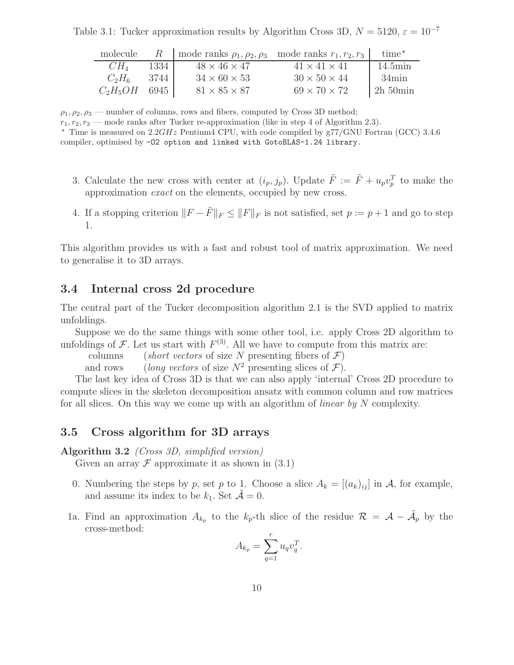Table 3.1: Tucker approximation results by Algorithm Cross 3D,  $N = 5120$ ,  $\varepsilon = 10^{-7}$ 

| molecule        |      | R   mode ranks $\rho_1, \rho_2, \rho_3$ mode ranks $r_1, r_2, r_3$ |                          | $time^{\star}$         |
|-----------------|------|--------------------------------------------------------------------|--------------------------|------------------------|
| $CH_4$          | 1334 | $48 \times 46 \times 47$                                           | $41 \times 41 \times 41$ | $14.5\text{min}$       |
| $C_2H_6$        | 3744 | $34 \times 60 \times 53$                                           | $30 \times 50 \times 44$ | $34\text{min}$         |
| $C_2H_5OH$ 6945 |      | $81 \times 85 \times 87$                                           | $69 \times 70 \times 72$ | $2h\,50\,\mathrm{min}$ |

 $\rho_1, \rho_2, \rho_3$  — number of columns, rows and fibers, computed by Cross 3D method;

 $r_1, r_2, r_3$  — mode ranks after Tucker re-approximation (like in step 4 of Algorithm 2.3).

 $\star$  Time is measured on 2.2GHz Pentium4 CPU, with code compiled by g77/GNU Fortran (GCC) 3.4.6 compiler, optimised by -O2 option and linked with GotoBLAS-1.24 library.

- 3. Calculate the new cross with center at  $(i_p, j_p)$ . Update  $\tilde{F} := \tilde{F} + u_p v_p^T$  to make the approximation exact on the elements, occupied by new cross.
- 4. If a stopping criterion  $||F \tilde{F}||_F \le ||F||_F$  is not satisfied, set  $p := p + 1$  and go to step 1.

This algorithm provides us with a fast and robust tool of matrix approximation. We need to generalise it to 3D arrays.

## 3.4 Internal cross 2d procedure

The central part of the Tucker decomposition algorithm 2.1 is the SVD applied to matrix unfoldings.

Suppose we do the same things with some other tool, i.e. apply Cross 2D algorithm to unfoldings of F. Let us start with  $F^{(3)}$ . All we have to compute from this matrix are:

columns (short vectors of size N presenting fibers of  $\mathcal{F}$ )

and rows (long vectors of size  $N^2$  presenting slices of  $\mathcal{F}$ ).

The last key idea of Cross 3D is that we can also apply 'internal' Cross 2D procedure to compute slices in the skeleton decomposition ansatz with common column and row matrices for all slices. On this way we come up with an algorithm of *linear by*  $N$  complexity.

### 3.5 Cross algorithm for 3D arrays

### Algorithm 3.2 (Cross 3D, simplified version)

Given an array  $\mathcal F$  approximate it as shown in  $(3.1)$ 

- 0. Numbering the steps by p, set p to 1. Choose a slice  $A_k = [(a_k)_{ij}]$  in A, for example, and assume its index to be  $k_1$ . Set  $\mathcal{A} = 0$ .
- 1a. Find an approximation  $A_{k_p}$  to the  $k_p$ -th slice of the residue  $\mathcal{R} = \mathcal{A} \tilde{\mathcal{A}}_p$  by the cross-method:

$$
A_{k_p} = \sum_{q=1}^r u_q v_q^T.
$$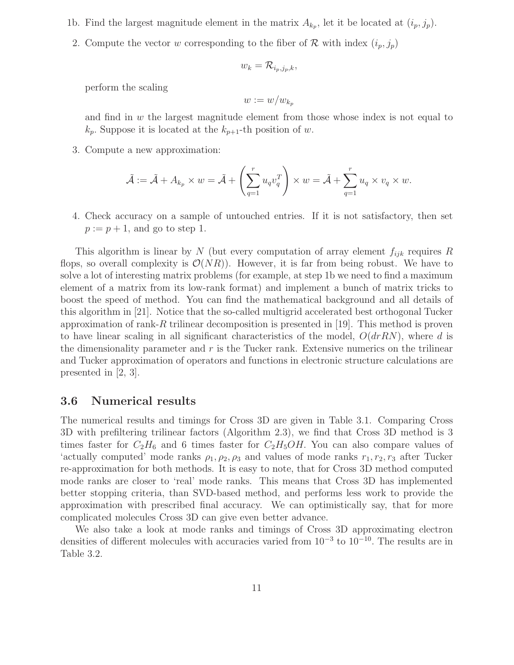- 1b. Find the largest magnitude element in the matrix  $A_{k_p}$ , let it be located at  $(i_p, j_p)$ .
- 2. Compute the vector w corresponding to the fiber of R with index  $(i_p, j_p)$

$$
w_k = \mathcal{R}_{i_p,j_p,k},
$$

perform the scaling

$$
w:=w/w_{k_p}
$$

and find in  $w$  the largest magnitude element from those whose index is not equal to  $k_p$ . Suppose it is located at the  $k_{p+1}$ -th position of w.

3. Compute a new approximation:

$$
\tilde{\mathcal{A}} := \tilde{\mathcal{A}} + A_{k_p} \times w = \tilde{\mathcal{A}} + \left(\sum_{q=1}^r u_q v_q^T\right) \times w = \tilde{\mathcal{A}} + \sum_{q=1}^r u_q \times v_q \times w.
$$

4. Check accuracy on a sample of untouched entries. If it is not satisfactory, then set  $p := p + 1$ , and go to step 1.

This algorithm is linear by N (but every computation of array element  $f_{ijk}$  requires R flops, so overall complexity is  $\mathcal{O}(NR)$ . However, it is far from being robust. We have to solve a lot of interesting matrix problems (for example, at step 1b we need to find a maximum element of a matrix from its low-rank format) and implement a bunch of matrix tricks to boost the speed of method. You can find the mathematical background and all details of this algorithm in [21]. Notice that the so-called multigrid accelerated best orthogonal Tucker approximation of rank-R trilinear decomposition is presented in [19]. This method is proven to have linear scaling in all significant characteristics of the model,  $O(drRN)$ , where d is the dimensionality parameter and  $r$  is the Tucker rank. Extensive numerics on the trilinear and Tucker approximation of operators and functions in electronic structure calculations are presented in [2, 3].

### 3.6 Numerical results

The numerical results and timings for Cross 3D are given in Table 3.1. Comparing Cross 3D with prefiltering trilinear factors (Algorithm 2.3), we find that Cross 3D method is 3 times faster for  $C_2H_6$  and 6 times faster for  $C_2H_5OH$ . You can also compare values of 'actually computed' mode ranks  $\rho_1, \rho_2, \rho_3$  and values of mode ranks  $r_1, r_2, r_3$  after Tucker re-approximation for both methods. It is easy to note, that for Cross 3D method computed mode ranks are closer to 'real' mode ranks. This means that Cross 3D has implemented better stopping criteria, than SVD-based method, and performs less work to provide the approximation with prescribed final accuracy. We can optimistically say, that for more complicated molecules Cross 3D can give even better advance.

We also take a look at mode ranks and timings of Cross 3D approximating electron densities of different molecules with accuracies varied from  $10^{-3}$  to  $10^{-10}$ . The results are in Table 3.2.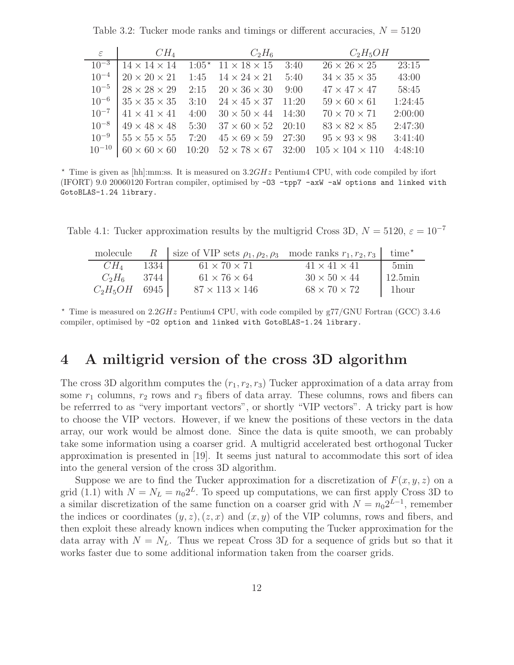Table 3.2: Tucker mode ranks and timings or different accuracies,  $N = 5120$ 

| $\varepsilon$ | $CH_4$                   |       | $C_2H_6$                            |       | $C_2H_5OH$                  |         |
|---------------|--------------------------|-------|-------------------------------------|-------|-----------------------------|---------|
| $10^{-3}$     | $14 \times 14 \times 14$ |       | $1:05^*$ 11 $\times$ 18 $\times$ 15 | 3:40  | $26 \times 26 \times 25$    | 23:15   |
| $10^{-4}$     | $20 \times 20 \times 21$ |       | 1:45 $14 \times 24 \times 21$       | 5:40  | $34 \times 35 \times 35$    | 43:00   |
| $10^{-5}$     | $28 \times 28 \times 29$ |       | 2:15 $20 \times 36 \times 30$       | 9:00  | $47 \times 47 \times 47$    | 58:45   |
| $10^{-6}$     | $35 \times 35 \times 35$ |       | 3:10 $24 \times 45 \times 37$       | 11:20 | $59 \times 60 \times 61$    | 1:24:45 |
| $10^{-7}$     | $41 \times 41 \times 41$ | 4:00  | $30 \times 50 \times 44$ 14:30      |       | $70 \times 70 \times 71$    | 2:00:00 |
| $10^{-8}$     | $49 \times 48 \times 48$ | 5:30  | $37 \times 60 \times 52$ 20:10      |       | $83 \times 82 \times 85$    | 2:47:30 |
| $10^{-9}$     | $55 \times 55 \times 55$ | 7:20  | $45 \times 69 \times 59$ 27:30      |       | $95 \times 93 \times 98$    | 3:41:40 |
| $10^{-10}$    | $60 \times 60 \times 60$ | 10:20 | $52 \times 78 \times 67$ 32:00      |       | $105 \times 104 \times 110$ | 4:48:10 |

 $\star$  Time is given as [hh]:mm:ss. It is measured on  $3.2GHz$  Pentium4 CPU, with code compiled by ifort (IFORT) 9.0 20060120 Fortran compiler, optimised by -O3 -tpp7 -axW -aW options and linked with GotoBLAS-1.24 library.

Table 4.1: Tucker approximation results by the multigrid Cross 3D,  $N = 5120$ ,  $\varepsilon = 10^{-7}$ 

|                 |        | molecule R size of VIP sets $\rho_1, \rho_2, \rho_3$ mode ranks $r_1, r_2, r_3$ time <sup>*</sup> |                          |                  |
|-----------------|--------|---------------------------------------------------------------------------------------------------|--------------------------|------------------|
| $CH_4$          | 1334   | $61 \times 70 \times 71$                                                                          | $41 \times 41 \times 41$ | $5\text{min}$    |
| $C_2H_6$        | - 3744 | $61 \times 76 \times 64$                                                                          | $30 \times 50 \times 44$ | $12.5\text{min}$ |
| $C_2H_5OH$ 6945 |        | $87 \times 113 \times 146$                                                                        | $68 \times 70 \times 72$ | 1hour            |

 $\star$  Time is measured on 2.2GHz Pentium4 CPU, with code compiled by g77/GNU Fortran (GCC) 3.4.6 compiler, optimised by -O2 option and linked with GotoBLAS-1.24 library.

# 4 A miltigrid version of the cross 3D algorithm

The cross 3D algorithm computes the  $(r_1, r_2, r_3)$  Tucker approximation of a data array from some  $r_1$  columns,  $r_2$  rows and  $r_3$  fibers of data array. These columns, rows and fibers can be referrred to as "very important vectors", or shortly "VIP vectors". A tricky part is how to choose the VIP vectors. However, if we knew the positions of these vectors in the data array, our work would be almost done. Since the data is quite smooth, we can probably take some information using a coarser grid. A multigrid accelerated best orthogonal Tucker approximation is presented in [19]. It seems just natural to accommodate this sort of idea into the general version of the cross 3D algorithm.

Suppose we are to find the Tucker approximation for a discretization of  $F(x, y, z)$  on a grid (1.1) with  $N = N_L = n_0 2^L$ . To speed up computations, we can first apply Cross 3D to a similar discretization of the same function on a coarser grid with  $N = n_0 2^{L-1}$ , remember the indices or coordinates  $(y, z), (z, x)$  and  $(x, y)$  of the VIP columns, rows and fibers, and then exploit these already known indices when computing the Tucker approximation for the data array with  $N = N_L$ . Thus we repeat Cross 3D for a sequence of grids but so that it works faster due to some additional information taken from the coarser grids.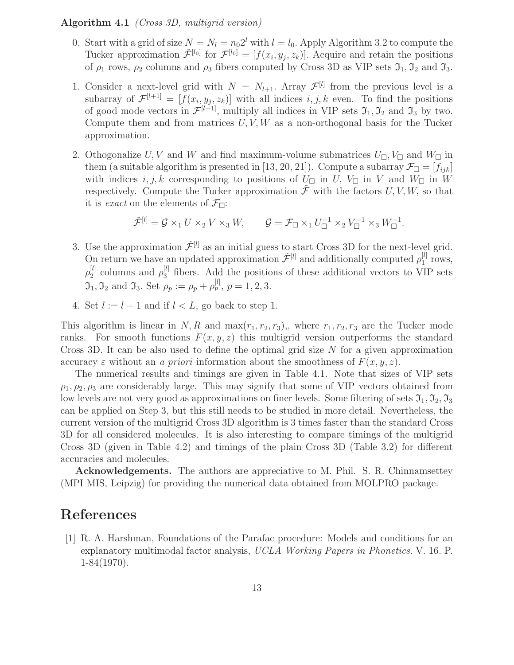#### Algorithm 4.1 (Cross 3D, multigrid version)

- 0. Start with a grid of size  $N = N_l = n_0 2^l$  with  $l = l_0$ . Apply Algorithm 3.2 to compute the Tucker approximation  $\tilde{\mathcal{F}}^{[l_0]}$  for  $\mathcal{F}^{[l_0]} = [f(x_i, y_j, z_k)]$ . Acquire and retain the positions of  $\rho_1$  rows,  $\rho_2$  columns and  $\rho_3$  fibers computed by Cross 3D as VIP sets  $\mathfrak{I}_1, \mathfrak{I}_2$  and  $\mathfrak{I}_3$ .
- 1. Consider a next-level grid with  $N = N_{l+1}$ . Array  $\mathcal{F}^{[l]}$  from the previous level is a subarray of  $\mathcal{F}^{[l+1]} = [f(x_i, y_j, z_k)]$  with all indices  $i, j, k$  even. To find the positions of good mode vectors in  $\mathcal{F}^{[l+1]}$ , multiply all indices in VIP sets  $\mathfrak{I}_1, \mathfrak{I}_2$  and  $\mathfrak{I}_3$  by two. Compute them and from matrices  $U, V, W$  as a non-orthogonal basis for the Tucker approximation.
- 2. Othogonalize U, V and W and find maximum-volume submatrices  $U_{\Box}, V_{\Box}$  and  $W_{\Box}$  in them (a suitable algorithm is presented in [13, 20, 21]). Compute a subarray  $\mathcal{F}_{\Box} = [f_{ijk}]$ with indices  $i, j, k$  corresponding to positions of  $U_{\Box}$  in  $U, V_{\Box}$  in  $V$  and  $W_{\Box}$  in W respectively. Compute the Tucker approximation  $\tilde{\mathcal{F}}$  with the factors U, V, W, so that it is *exact* on the elements of  $\mathcal{F}_{\Box}$ :

$$
\tilde{\mathcal{F}}^{[l]}=\mathcal{G}\times_1 U\times_2 V\times_3 W,\qquad \mathcal{G}=\mathcal{F}_\Box\times_1 U_\Box^{-1}\times_2 V_\Box^{-1}\times_3 W_\Box^{-1}.
$$

- 3. Use the approximation  $\tilde{\mathcal{F}}^{[l]}$  as an initial guess to start Cross 3D for the next-level grid. On return we have an updated approximation  $\tilde{\mathcal{F}}^{[l]}$  and additionally computed  $\rho_1^{[l]}$  $_1^{\lbrack t\rbrack}$  rows,  $\rho_2^{[l]}$  $\frac{[l]}{2}$  columns and  $\rho_3^{[l]}$  fibers. Add the positions of these additional vectors to VIP sets  $\mathfrak{I}_1, \mathfrak{I}_2$  and  $\mathfrak{I}_3$ . Set  $\rho_p := \rho_p + \rho_p^{[l]}, p = 1, 2, 3$ .
- 4. Set  $l := l + 1$  and if  $l < L$ , go back to step 1.

This algorithm is linear in N, R and  $\max(r_1, r_2, r_3)$ ,, where  $r_1, r_2, r_3$  are the Tucker mode ranks. For smooth functions  $F(x, y, z)$  this multigrid version outperforms the standard Cross 3D. It can be also used to define the optimal grid size N for a given approximation accuracy  $\varepsilon$  without an a priori information about the smoothness of  $F(x, y, z)$ .

The numerical results and timings are given in Table 4.1. Note that sizes of VIP sets  $\rho_1, \rho_2, \rho_3$  are considerably large. This may signify that some of VIP vectors obtained from low levels are not very good as approximations on finer levels. Some filtering of sets  $\mathfrak{I}_1, \mathfrak{I}_2, \mathfrak{I}_3$ can be applied on Step 3, but this still needs to be studied in more detail. Nevertheless, the current version of the multigrid Cross 3D algorithm is 3 times faster than the standard Cross 3D for all considered molecules. It is also interesting to compare timings of the multigrid Cross 3D (given in Table 4.2) and timings of the plain Cross 3D (Table 3.2) for different accuracies and molecules.

Acknowledgements. The authors are appreciative to M. Phil. S. R. Chinnamsettey (MPI MIS, Leipzig) for providing the numerical data obtained from MOLPRO package.

## References

[1] R. A. Harshman, Foundations of the Parafac procedure: Models and conditions for an explanatory multimodal factor analysis, UCLA Working Papers in Phonetics. V. 16. P. 1-84(1970).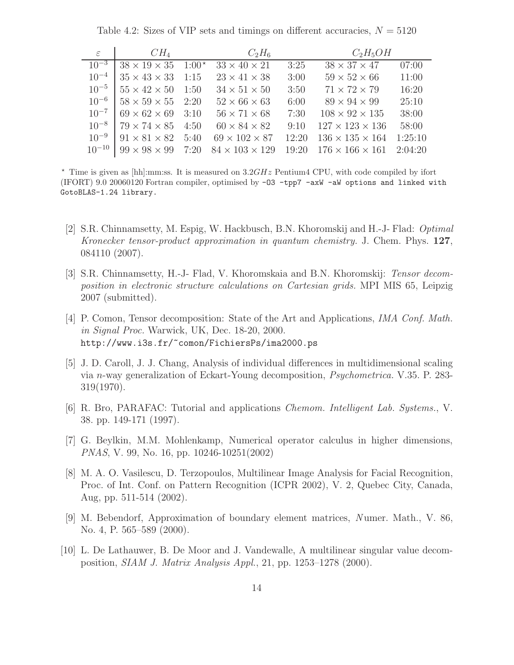Table 4.2: Sizes of VIP sets and timings on different accuracies,  $N = 5120$ 

| $\varepsilon$ | $CH_4$                            |      | $C_2H_6$                   |       | $C_2H_5OH$                  |         |
|---------------|-----------------------------------|------|----------------------------|-------|-----------------------------|---------|
| $10^{-3}$     | $38 \times 19 \times 35$ $1:00^*$ |      | $33 \times 40 \times 21$   | 3:25  | $38 \times 37 \times 47$    | 07:00   |
| $10^{-4}$     | $35 \times 43 \times 33$ 1:15     |      | $23 \times 41 \times 38$   | 3:00  | $59 \times 52 \times 66$    | 11:00   |
| $10^{-5}$     | $55 \times 42 \times 50$ 1:50     |      | $34 \times 51 \times 50$   | 3:50  | $71 \times 72 \times 79$    | 16:20   |
| $10^{-6}$     | $58 \times 59 \times 55$ 2:20     |      | $52 \times 66 \times 63$   | 6:00  | $89 \times 94 \times 99$    | 25:10   |
| $10^{-7}$     | $69 \times 62 \times 69$ 3:10     |      | $56 \times 71 \times 68$   | 7:30  | $108 \times 92 \times 135$  | 38:00   |
| $10^{-8}$     | $79 \times 74 \times 85$ 4:50     |      | $60 \times 84 \times 82$   | 9:10  | $127 \times 123 \times 136$ | 58:00   |
| $10^{-9}$     | $91 \times 81 \times 82$          | 5:40 | $69 \times 102 \times 87$  | 12:20 | $136 \times 135 \times 164$ | 1:25:10 |
| $10^{-10}$    | $99 \times 98 \times 99$          | 7:20 | $84 \times 103 \times 129$ | 19:20 | $176 \times 166 \times 161$ | 2:04:20 |

 $\star$  Time is given as [hh]:mm:ss. It is measured on  $3.2GHz$  Pentium4 CPU, with code compiled by ifort (IFORT) 9.0 20060120 Fortran compiler, optimised by -O3 -tpp7 -axW -aW options and linked with GotoBLAS-1.24 library.

- [2] S.R. Chinnamsetty, M. Espig, W. Hackbusch, B.N. Khoromskij and H.-J- Flad: Optimal Kronecker tensor-product approximation in quantum chemistry. J. Chem. Phys. 127, 084110 (2007).
- [3] S.R. Chinnamsetty, H.-J- Flad, V. Khoromskaia and B.N. Khoromskij: Tensor decomposition in electronic structure calculations on Cartesian grids. MPI MIS 65, Leipzig 2007 (submitted).
- [4] P. Comon, Tensor decomposition: State of the Art and Applications, IMA Conf. Math. in Signal Proc. Warwick, UK, Dec. 18-20, 2000. http://www.i3s.fr/~comon/FichiersPs/ima2000.ps
- [5] J. D. Caroll, J. J. Chang, Analysis of individual differences in multidimensional scaling via n-way generalization of Eckart-Young decomposition, Psychometrica. V.35. P. 283- 319(1970).
- [6] R. Bro, PARAFAC: Tutorial and applications Chemom. Intelligent Lab. Systems., V. 38. pp. 149-171 (1997).
- [7] G. Beylkin, M.M. Mohlenkamp, Numerical operator calculus in higher dimensions, PNAS, V. 99, No. 16, pp. 10246-10251(2002)
- [8] M. A. O. Vasilescu, D. Terzopoulos, Multilinear Image Analysis for Facial Recognition, Proc. of Int. Conf. on Pattern Recognition (ICPR 2002), V. 2, Quebec City, Canada, Aug, pp. 511-514 (2002).
- [9] M. Bebendorf, Approximation of boundary element matrices, Numer. Math., V. 86, No. 4, P. 565–589 (2000).
- [10] L. De Lathauwer, B. De Moor and J. Vandewalle, A multilinear singular value decomposition, SIAM J. Matrix Analysis Appl., 21, pp. 1253–1278 (2000).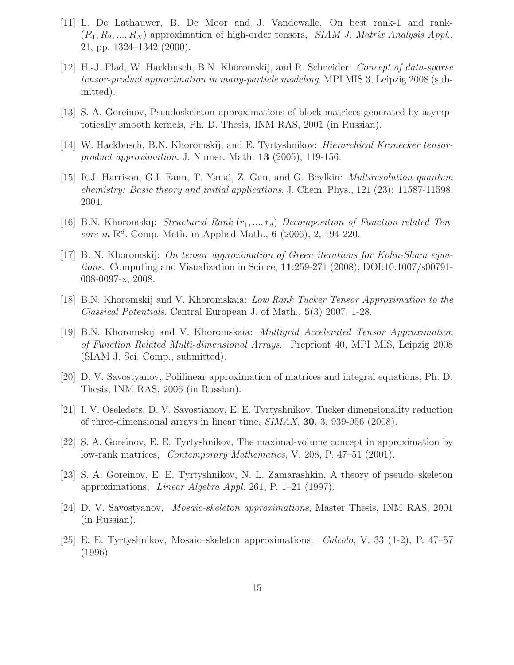- [11] L. De Lathauwer, B. De Moor and J. Vandewalle, On best rank-1 and rank-  $(R_1, R_2, ..., R_N)$  approximation of high-order tensors, *SIAM J. Matrix Analysis Appl.*, 21, pp. 1324–1342 (2000).
- [12] H.-J. Flad, W. Hackbusch, B.N. Khoromskij, and R. Schneider: Concept of data-sparse tensor-product approximation in many-particle modeling. MPI MIS 3, Leipzig 2008 (submitted).
- [13] S. A. Goreinov, Pseudoskeleton approximations of block matrices generated by asymptotically smooth kernels, Ph. D. Thesis, INM RAS, 2001 (in Russian).
- [14] W. Hackbusch, B.N. Khoromskij, and E. Tyrtyshnikov: Hierarchical Kronecker tensorproduct approximation. J. Numer. Math. 13 (2005), 119-156.
- [15] R.J. Harrison, G.I. Fann, T. Yanai, Z. Gan, and G. Beylkin: Multiresolution quantum chemistry: Basic theory and initial applications. J. Chem. Phys., 121 (23): 11587-11598, 2004.
- [16] B.N. Khoromskij: *Structured Rank-* $(r_1, ..., r_d)$  *Decomposition of Function-related Ten*sors in  $\mathbb{R}^d$ . Comp. Meth. in Applied Math., 6 (2006), 2, 194-220.
- [17] B. N. Khoromskij: On tensor approximation of Green iterations for Kohn-Sham equations. Computing and Visualization in Scince, 11:259-271 (2008); DOI:10.1007/s00791- 008-0097-x, 2008.
- [18] B.N. Khoromskij and V. Khoromskaia: Low Rank Tucker Tensor Approximation to the Classical Potentials. Central European J. of Math., 5(3) 2007, 1-28.
- [19] B.N. Khoromskij and V. Khoromskaia: Multigrid Accelerated Tensor Approximation of Function Related Multi-dimensional Arrays. Prepriont 40, MPI MIS, Leipzig 2008 (SIAM J. Sci. Comp., submitted).
- [20] D. V. Savostyanov, Polilinear approximation of matrices and integral equations, Ph. D. Thesis, INM RAS, 2006 (in Russian).
- [21] I. V. Oseledets, D. V. Savostianov, E. E. Tyrtyshnikov, Tucker dimensionality reduction of three-dimensional arrays in linear time,  $SIMAX$ , 30, 3, 939-956 (2008).
- [22] S. A. Goreinov, E. E. Tyrtyshnikov, The maximal-volume concept in approximation by low-rank matrices, Contemporary Mathematics, V. 208, P. 47–51 (2001).
- [23] S. A. Goreinov, E. E. Tyrtyshnikov, N. L. Zamarashkin, A theory of pseudo–skeleton approximations, Linear Algebra Appl. 261, P. 1–21 (1997).
- [24] D. V. Savostyanov, Mosaic-skeleton approximations, Master Thesis, INM RAS, 2001 (in Russian).
- [25] E. E. Tyrtyshnikov, Mosaic–skeleton approximations, Calcolo, V. 33 (1-2), P. 47–57 (1996).